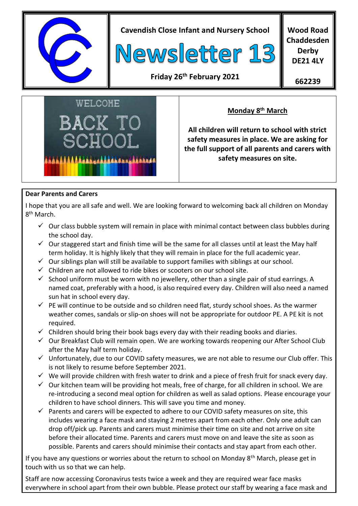

**Cavendish Close Infant and Nursery School**



**Wood Road Chaddesden Derby DE21 4LY**

## **Friday 26th February 2021**

**662239**



## **Monday 8th March**

**All children will return to school with strict safety measures in place. We are asking for the full support of all parents and carers with safety measures on site.**

#### **Dear Parents and Carers**

I hope that you are all safe and well. We are looking forward to welcoming back all children on Monday 8<sup>th</sup> March.

- $\checkmark$  Our class bubble system will remain in place with minimal contact between class bubbles during the school day.
- $\checkmark$  Our staggered start and finish time will be the same for all classes until at least the May half term holiday. It is highly likely that they will remain in place for the full academic year.
- $\checkmark$  Our siblings plan will still be available to support families with siblings at our school.
- $\checkmark$  Children are not allowed to ride bikes or scooters on our school site.
- $\checkmark$  School uniform must be worn with no jewellery, other than a single pair of stud earrings. A named coat, preferably with a hood, is also required every day. Children will also need a named sun hat in school every day.
- $\checkmark$  PE will continue to be outside and so children need flat, sturdy school shoes. As the warmer weather comes, sandals or slip-on shoes will not be appropriate for outdoor PE. A PE kit is not required.
- $\checkmark$  Children should bring their book bags every day with their reading books and diaries.
- $\checkmark$  Our Breakfast Club will remain open. We are working towards reopening our After School Club after the May half term holiday.
- $\checkmark$  Unfortunately, due to our COVID safety measures, we are not able to resume our Club offer. This is not likely to resume before September 2021.
- $\checkmark$  We will provide children with fresh water to drink and a piece of fresh fruit for snack every day.
- $\checkmark$  Our kitchen team will be providing hot meals, free of charge, for all children in school. We are re-introducing a second meal option for children as well as salad options. Please encourage your children to have school dinners. This will save you time and money.
- $\checkmark$  Parents and carers will be expected to adhere to our COVID safety measures on site, this includes wearing a face mask and staying 2 metres apart from each other. Only one adult can drop off/pick up. Parents and carers must minimise their time on site and not arrive on site before their allocated time. Parents and carers must move on and leave the site as soon as possible. Parents and carers should minimise their contacts and stay apart from each other.

If you have any questions or worries about the return to school on Monday 8<sup>th</sup> March, please get in touch with us so that we can help.

Staff are now accessing Coronavirus tests twice a week and they are required wear face masks everywhere in school apart from their own bubble. Please protect our staff by wearing a face mask and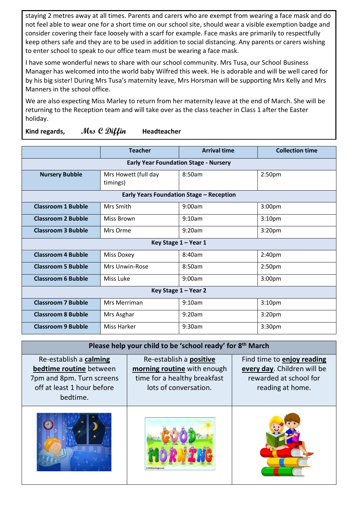staying 2 metres away at all times. Parents and carers who are exempt from wearing a face mask and do not feel able to wear one for a short time on our school site, should wear a visible exemption badge and consider covering their face loosely with a scarf for example. Face masks are primarily to respectfully keep others safe and they are to be used in addition to social distancing. Any parents or carers wishing to enter school to speak to our office team must be wearing a face mask.

I have some wonderful news to share with our school community. Mrs Tusa, our School Business Manager has welcomed into the world baby Wilfred this week. He is adorable and will be well cared for by his big sister! During Mrs Tusa's maternity leave, Mrs Horsman will be supporting Mrs Kelly and Mrs Manners in the school office.

We are also expecting Miss Marley to return from her maternity leave at the end of March. She will be returning to the Reception team and will take over as the class teacher in Class 1 after the Easter holiday.

|                                                 | <b>Teacher</b>                   | <b>Arrival time</b> | <b>Collection time</b> |  |
|-------------------------------------------------|----------------------------------|---------------------|------------------------|--|
| <b>Early Year Foundation Stage - Nursery</b>    |                                  |                     |                        |  |
| <b>Nursery Bubble</b>                           | Mrs Howett (full day<br>timings) | 8:50am              | 2:50 <sub>pm</sub>     |  |
| <b>Early Years Foundation Stage - Reception</b> |                                  |                     |                        |  |
| <b>Classroom 1 Bubble</b>                       | Mrs Smith                        | 9:00am              | 3:00 <sub>pm</sub>     |  |
| <b>Classroom 2 Bubble</b>                       | Miss Brown                       | 9:10am              | 3:10 <sub>pm</sub>     |  |
| <b>Classroom 3 Bubble</b>                       | Mrs Orme                         | 9:20am              | 3:20 <sub>pm</sub>     |  |
| Key Stage 1 - Year 1                            |                                  |                     |                        |  |
| <b>Classroom 4 Bubble</b>                       | Miss Doxey                       | 8:40am              | 2:40pm                 |  |
| <b>Classroom 5 Bubble</b>                       | Mrs Unwin-Rose                   | 8:50am              | 2:50 <sub>pm</sub>     |  |
| <b>Classroom 6 Bubble</b>                       | Miss Luke                        | 9:00am              | 3:00 <sub>pm</sub>     |  |
| Key Stage 1 - Year 2                            |                                  |                     |                        |  |
| <b>Classroom 7 Bubble</b>                       | Mrs Merriman                     | 9:10am              | 3:10 <sub>pm</sub>     |  |
| <b>Classroom 8 Bubble</b>                       | Mrs Asghar                       | 9:20am              | 3:20 <sub>pm</sub>     |  |
| <b>Classroom 9 Bubble</b>                       | Miss Harker                      | 9:30am              | 3:30 <sub>pm</sub>     |  |

**Kind regards, Mrs C Diffin Headteacher**

| Please help your child to be 'school ready' for 8th March                                                                |                                                                                                                 |                                                                                                         |  |  |
|--------------------------------------------------------------------------------------------------------------------------|-----------------------------------------------------------------------------------------------------------------|---------------------------------------------------------------------------------------------------------|--|--|
| Re-establish a calming<br>bedtime routine between<br>7pm and 8pm. Turn screens<br>off at least 1 hour before<br>bedtime. | Re-establish a positive<br>morning routine with enough<br>time for a healthy breakfast<br>lots of conversation. | Find time to enjoy reading<br>every day. Children will be<br>rewarded at school for<br>reading at home. |  |  |
|                                                                                                                          |                                                                                                                 |                                                                                                         |  |  |





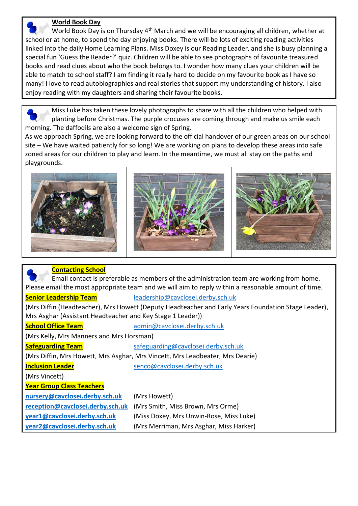#### **World Book Day**

World Book Day is on Thursday 4<sup>th</sup> March and we will be encouraging all children, whether at school or at home, to spend the day enjoying books. There will be lots of exciting reading activities linked into the daily Home Learning Plans. Miss Doxey is our Reading Leader, and she is busy planning a special fun 'Guess the Reader?' quiz. Children will be able to see photographs of favourite treasured books and read clues about who the book belongs to. I wonder how many clues your children will be able to match to school staff? I am finding it really hard to decide on my favourite book as I have so many! I love to read autobiographies and real stories that support my understanding of history. I also enjoy reading with my daughters and sharing their favourite books.

 Miss Luke has taken these lovely photographs to share with all the children who helped with planting before Christmas. The purple crocuses are coming through and make us smile each morning. The daffodils are also a welcome sign of Spring.

As we approach Spring, we are looking forward to the official handover of our green areas on our school site – We have waited patiently for so long! We are working on plans to develop these areas into safe zoned areas for our children to play and learn. In the meantime, we must all stay on the paths and playgrounds.







| <b>Contacting School</b>                                                                            |                                         |  |  |  |
|-----------------------------------------------------------------------------------------------------|-----------------------------------------|--|--|--|
| Email contact is preferable as members of the administration team are working from home.            |                                         |  |  |  |
| Please email the most appropriate team and we will aim to reply within a reasonable amount of time. |                                         |  |  |  |
| <b>Senior Leadership Team</b>                                                                       | leadership@cavclosei.derby.sch.uk       |  |  |  |
| (Mrs Diffin (Headteacher), Mrs Howett (Deputy Headteacher and Early Years Foundation Stage Leader), |                                         |  |  |  |
| Mrs Asghar (Assistant Headteacher and Key Stage 1 Leader))                                          |                                         |  |  |  |
| <b>School Office Team</b>                                                                           | admin@cavclosei.derby.sch.uk            |  |  |  |
| (Mrs Kelly, Mrs Manners and Mrs Horsman)                                                            |                                         |  |  |  |
| <b>Safeguarding Team</b>                                                                            | safeguarding@cavclosei.derby.sch.uk     |  |  |  |
| (Mrs Diffin, Mrs Howett, Mrs Asghar, Mrs Vincett, Mrs Leadbeater, Mrs Dearie)                       |                                         |  |  |  |
| <b>Inclusion Leader</b>                                                                             | senco@cavclosei.derby.sch.uk            |  |  |  |
| (Mrs Vincett)                                                                                       |                                         |  |  |  |
| <b>Year Group Class Teachers</b>                                                                    |                                         |  |  |  |
| nursery@cavclosei.derby.sch.uk                                                                      | (Mrs Howett)                            |  |  |  |
| reception@cavclosei.derby.sch.uk                                                                    | (Mrs Smith, Miss Brown, Mrs Orme)       |  |  |  |
| year1@cavclosei.derby.sch.uk                                                                        | (Miss Doxey, Mrs Unwin-Rose, Miss Luke) |  |  |  |
| year2@cavclosei.derby.sch.uk                                                                        | (Mrs Merriman, Mrs Asghar, Miss Harker) |  |  |  |